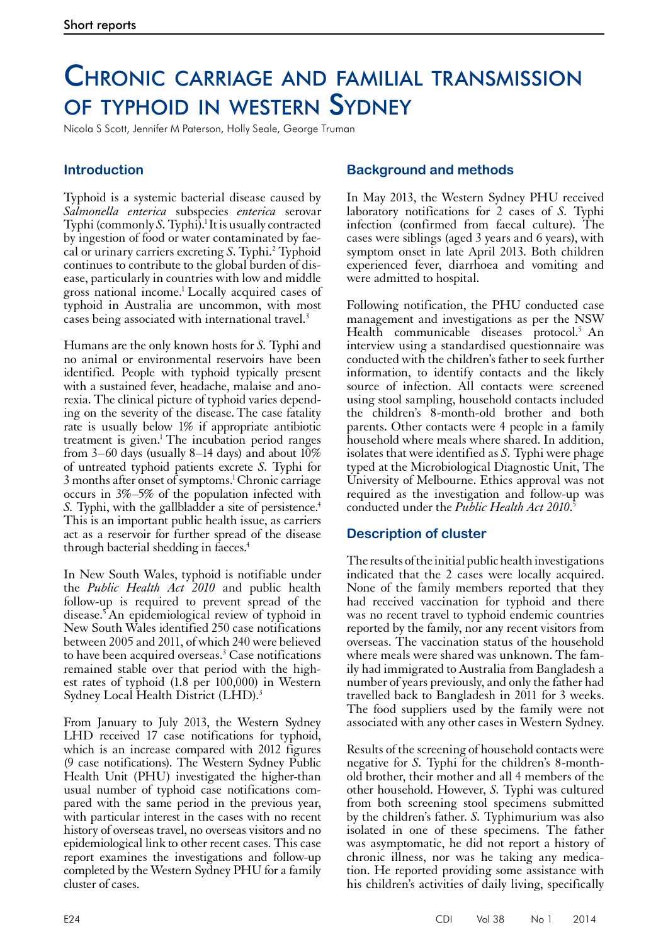# Chronic carriage and familial transmission of typhoid in western Sydney

Nicola S Scott, Jennifer M Paterson, Holly Seale, George Truman

## **Introduction**

Typhoid is a systemic bacterial disease caused by *Salmonella enterica* subspecies *enterica* serovar Typhi (commonly *S*. Typhi).<sup>1</sup> It is usually contracted by ingestion of food or water contaminated by faecal or urinary carriers excreting *S*. Typhi.2 Typhoid continues to contribute to the global burden of disease, particularly in countries with low and middle gross national income.1 Locally acquired cases of typhoid in Australia are uncommon, with most cases being associated with international travel.3

Humans are the only known hosts for *S.* Typhi and no animal or environmental reservoirs have been identified. People with typhoid typically present with a sustained fever, headache, malaise and anorexia. The clinical picture of typhoid varies depending on the severity of the disease.The case fatality rate is usually below 1% if appropriate antibiotic treatment is given.<sup>1</sup> The incubation period ranges from 3–60 days (usually 8–14 days) and about 10% of untreated typhoid patients excrete *S.* Typhi for 3 months after onset of symptoms.<sup>1</sup> Chronic carriage occurs in 3%–5% of the population infected with *S.* Typhi, with the gallbladder a site of persistence.<sup>4</sup> This is an important public health issue, as carriers act as a reservoir for further spread of the disease through bacterial shedding in faeces.4

In New South Wales, typhoid is notifiable under the *Public Health Act 2010* and public health follow-up is required to prevent spread of the disease.5 An epidemiological review of typhoid in New South Wales identified 250 case notifications between 2005 and 2011, of which 240 were believed to have been acquired overseas.<sup>3</sup> Case notifications remained stable over that period with the highest rates of typhoid (1.8 per 100,000) in Western Sydney Local Health District (LHD).<sup>3</sup>

From January to July 2013, the Western Sydney LHD received 17 case notifications for typhoid, which is an increase compared with 2012 figures (9 case notifications). The Western Sydney Public Health Unit (PHU) investigated the higher-than usual number of typhoid case notifications com- pared with the same period in the previous year, with particular interest in the cases with no recent history of overseas travel, no overseas visitors and no epidemiological link to other recent cases. This case report examines the investigations and follow-up completed by the Western Sydney PHU for a family cluster of cases.

## **Background and methods**

In May 2013, the Western Sydney PHU received laboratory notifications for 2 cases of *S.* Typhi infection (confirmed from faecal culture). The cases were siblings (aged 3 years and 6 years), with symptom onset in late April 2013. Both children experienced fever, diarrhoea and vomiting and were admitted to hospital.

Following notification, the PHU conducted case management and investigations as per the NSW Health communicable diseases protocol.<sup>5</sup> An interview using a standardised questionnaire was conducted with the children's father to seek further information, to identify contacts and the likely source of infection. All contacts were screened using stool sampling, household contacts included the children's 8-month-old brother and both parents. Other contacts were 4 people in a family household where meals where shared. In addition, isolates that were identified as *S.* Typhi were phage typed at the Microbiological Diagnostic Unit, The University of Melbourne. Ethics approval was not required as the investigation and follow-up was conducted under the *Public Health Act 2010*. 5

#### **Description of cluster**

The results of the initial public health investigations indicated that the 2 cases were locally acquired. None of the family members reported that they had received vaccination for typhoid and there was no recent travel to typhoid endemic countries reported by the family, nor any recent visitors from overseas. The vaccination status of the household where meals were shared was unknown. The family had immigrated to Australia from Bangladesh a number of years previously, and only the father had travelled back to Bangladesh in 2011 for 3 weeks. The food suppliers used by the family were not associated with any other cases in Western Sydney.

Results of the screening of household contacts were negative for *S.* Typhi for the children's 8-monthold brother, their mother and all 4 members of the other household. However, *S.* Typhi was cultured from both screening stool specimens submitted by the children's father. *S.* Typhimurium was also isolated in one of these specimens. The father was asymptomatic, he did not report a history of chronic illness, nor was he taking any medication. He reported providing some assistance with his children's activities of daily living, specifically